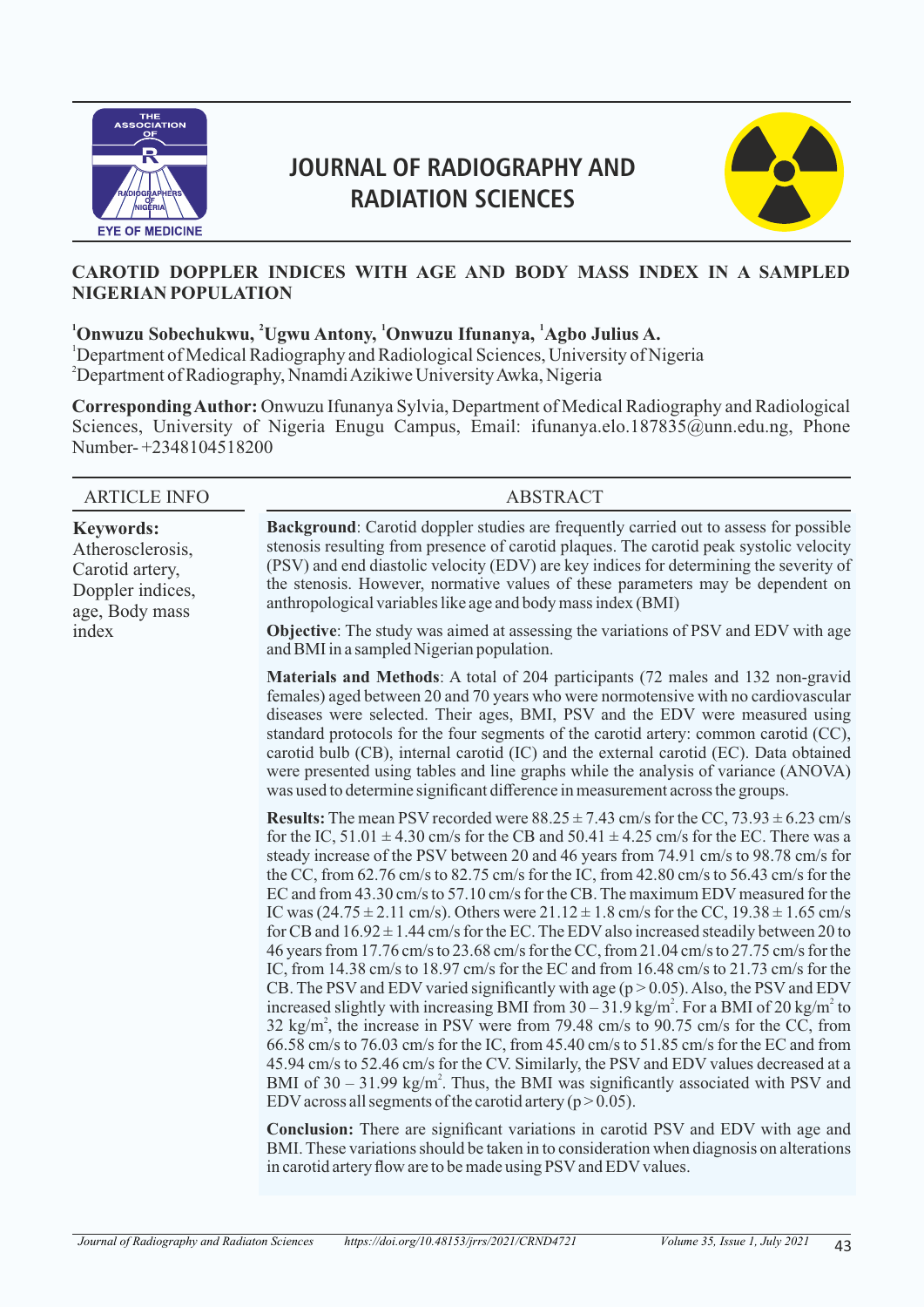

# **JOURNAL OF RADIOGRAPHY AND RADIATION SCIENCES**



# **CAROTID DOPPLER INDICES WITH AGE AND BODY MASS INDEX IN A SAMPLED NIGERIAN POPULATION**

# **<sup>1</sup> <sup>2</sup> <sup>1</sup> <sup>1</sup> Onwuzu Sobechukwu, Ugwu Antony, Onwuzu Ifunanya, Agbo Julius A.**

<sup>1</sup>Department of Medical Radiography and Radiological Sciences, University of Nigeria <sup>2</sup>Department of Radiography, Nnamdi Azikiwe University Awka, Nigeria

**Corresponding Author:** Onwuzu Ifunanya Sylvia, Department of Medical Radiography and Radiological Sciences, University of Nigeria Enugu Campus, Email: ifunanya.elo.187835@unn.edu.ng, Phone Number- +2348104518200

| <b>ARTICLE INFO</b>                                                                           | <b>ABSTRACT</b>                                                                                                                                                                                                                                                                                                                                                                                                                                                                                                                                                                                                                                                                                                                                                                                                                                                                                                                                                                                                                                                                                                                                                                                                                                                                                                                                                                                                                                                                                                                                                                                                                                                                                                                                                                                                                                                            |
|-----------------------------------------------------------------------------------------------|----------------------------------------------------------------------------------------------------------------------------------------------------------------------------------------------------------------------------------------------------------------------------------------------------------------------------------------------------------------------------------------------------------------------------------------------------------------------------------------------------------------------------------------------------------------------------------------------------------------------------------------------------------------------------------------------------------------------------------------------------------------------------------------------------------------------------------------------------------------------------------------------------------------------------------------------------------------------------------------------------------------------------------------------------------------------------------------------------------------------------------------------------------------------------------------------------------------------------------------------------------------------------------------------------------------------------------------------------------------------------------------------------------------------------------------------------------------------------------------------------------------------------------------------------------------------------------------------------------------------------------------------------------------------------------------------------------------------------------------------------------------------------------------------------------------------------------------------------------------------------|
| <b>Keywords:</b><br>Atherosclerosis,<br>Carotid artery,<br>Doppler indices,<br>age, Body mass | <b>Background:</b> Carotid doppler studies are frequently carried out to assess for possible<br>stenosis resulting from presence of carotid plaques. The carotid peak systolic velocity<br>(PSV) and end diastolic velocity (EDV) are key indices for determining the severity of<br>the stenosis. However, normative values of these parameters may be dependent on<br>anthropological variables like age and body mass index (BMI)                                                                                                                                                                                                                                                                                                                                                                                                                                                                                                                                                                                                                                                                                                                                                                                                                                                                                                                                                                                                                                                                                                                                                                                                                                                                                                                                                                                                                                       |
| index                                                                                         | <b>Objective:</b> The study was aimed at assessing the variations of PSV and EDV with age<br>and BMI in a sampled Nigerian population.                                                                                                                                                                                                                                                                                                                                                                                                                                                                                                                                                                                                                                                                                                                                                                                                                                                                                                                                                                                                                                                                                                                                                                                                                                                                                                                                                                                                                                                                                                                                                                                                                                                                                                                                     |
|                                                                                               | Materials and Methods: A total of 204 participants (72 males and 132 non-gravid<br>females) aged between 20 and 70 years who were normotensive with no cardiovascular<br>diseases were selected. Their ages, BMI, PSV and the EDV were measured using<br>standard protocols for the four segments of the carotid artery: common carotid (CC),<br>carotid bulb (CB), internal carotid (IC) and the external carotid (EC). Data obtained<br>were presented using tables and line graphs while the analysis of variance (ANOVA)<br>was used to determine significant difference in measurement across the groups.                                                                                                                                                                                                                                                                                                                                                                                                                                                                                                                                                                                                                                                                                                                                                                                                                                                                                                                                                                                                                                                                                                                                                                                                                                                             |
|                                                                                               | <b>Results:</b> The mean PSV recorded were $88.25 \pm 7.43$ cm/s for the CC, $73.93 \pm 6.23$ cm/s<br>for the IC, $51.01 \pm 4.30$ cm/s for the CB and $50.41 \pm 4.25$ cm/s for the EC. There was a<br>steady increase of the PSV between 20 and 46 years from 74.91 cm/s to 98.78 cm/s for<br>the CC, from 62.76 cm/s to 82.75 cm/s for the IC, from 42.80 cm/s to 56.43 cm/s for the<br>EC and from 43.30 cm/s to 57.10 cm/s for the CB. The maximum EDV measured for the<br>IC was $(24.75 \pm 2.11 \text{ cm/s})$ . Others were $21.12 \pm 1.8 \text{ cm/s}$ for the CC, $19.38 \pm 1.65 \text{ cm/s}$<br>for CB and $16.92 \pm 1.44$ cm/s for the EC. The EDV also increased steadily between 20 to<br>46 years from 17.76 cm/s to 23.68 cm/s for the CC, from 21.04 cm/s to 27.75 cm/s for the<br>IC, from 14.38 cm/s to 18.97 cm/s for the EC and from 16.48 cm/s to 21.73 cm/s for the<br>CB. The PSV and EDV varied significantly with age ( $p > 0.05$ ). Also, the PSV and EDV<br>increased slightly with increasing BMI from $30 - 31.9$ kg/m <sup>2</sup> . For a BMI of 20 kg/m <sup>2</sup> to<br>$32 \text{ kg/m}^2$ , the increase in PSV were from 79.48 cm/s to 90.75 cm/s for the CC, from<br>66.58 cm/s to 76.03 cm/s for the IC, from 45.40 cm/s to 51.85 cm/s for the EC and from<br>45.94 cm/s to 52.46 cm/s for the CV. Similarly, the PSV and EDV values decreased at a<br>BMI of $30 - 31.99$ kg/m <sup>2</sup> . Thus, the BMI was significantly associated with PSV and<br>EDV across all segments of the carotid artery ( $p > 0.05$ ).<br>$\mathbf{r}$ and $\mathbf{r}$ and $\mathbf{r}$ and $\mathbf{r}$ and $\mathbf{r}$ and $\mathbf{r}$ and $\mathbf{r}$ and $\mathbf{r}$ and $\mathbf{r}$ and $\mathbf{r}$ and $\mathbf{r}$ and $\mathbf{r}$ and $\mathbf{r}$ and $\mathbf{r}$ and $\mathbf{r}$ and $\mathbf{r}$ and $\mathbf{r}$ and |

**Conclusion:** There are significant variations in carotid PSV and EDV with age and BMI. These variations should be taken in to consideration when diagnosis on alterations in carotid artery flow are to be made using PSV and EDV values.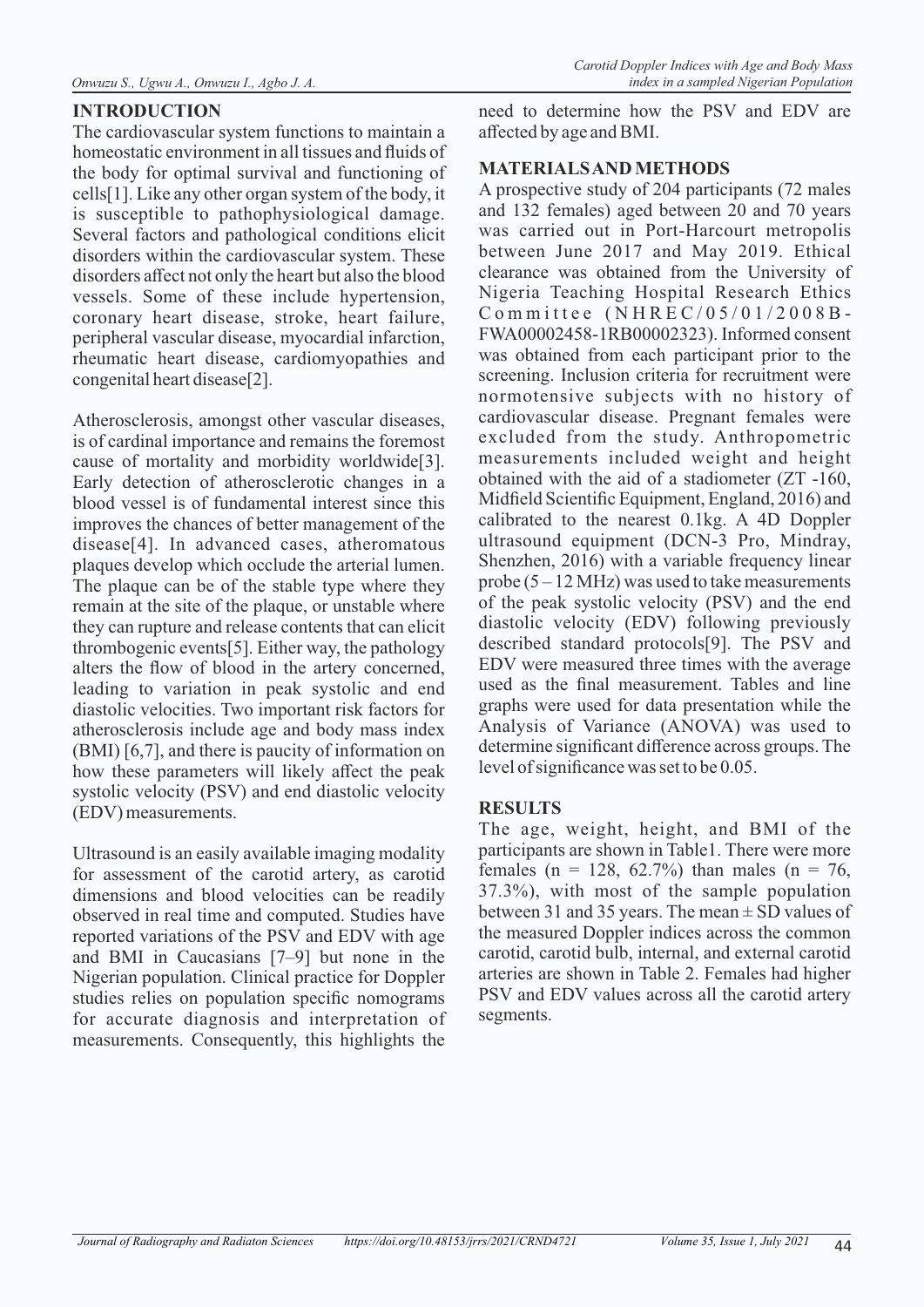# **INTRODUCTION**

The cardiovascular system functions to maintain a homeostatic environment in all tissues and fluids of the body for optimal survival and functioning of cells[1]. Like any other organ system of the body, it is susceptible to pathophysiological damage. Several factors and pathological conditions elicit disorders within the cardiovascular system. These disorders affect not only the heart but also the blood vessels. Some of these include hypertension, coronary heart disease, stroke, heart failure, peripheral vascular disease, myocardial infarction, rheumatic heart disease, cardiomyopathies and congenital heart disease[2].

Atherosclerosis, amongst other vascular diseases, is of cardinal importance and remains the foremost cause of mortality and morbidity worldwide[3]. Early detection of atherosclerotic changes in a blood vessel is of fundamental interest since this improves the chances of better management of the disease[4]. In advanced cases, atheromatous plaques develop which occlude the arterial lumen. The plaque can be of the stable type where they remain at the site of the plaque, or unstable where they can rupture and release contents that can elicit thrombogenic events[5]. Either way, the pathology alters the flow of blood in the artery concerned, leading to variation in peak systolic and end diastolic velocities. Two important risk factors for atherosclerosis include age and body mass index (BMI) [6,7], and there is paucity of information on how these parameters will likely affect the peak systolic velocity (PSV) and end diastolic velocity (EDV) measurements.

Ultrasound is an easily available imaging modality for assessment of the carotid artery, as carotid dimensions and blood velocities can be readily observed in real time and computed. Studies have reported variations of the PSV and EDV with age and BMI in Caucasians [7–9] but none in the Nigerian population. Clinical practice for Doppler studies relies on population specific nomograms for accurate diagnosis and interpretation of measurements. Consequently, this highlights the

need to determine how the PSV and EDV are affected by age and BMI.

## **MATERIALS AND METHODS**

A prospective study of 204 participants (72 males and 132 females) aged between 20 and 70 years was carried out in Port-Harcourt metropolis between June 2017 and May 2019. Ethical clearance was obtained from the University of Nigeria Teaching Hospital Research Ethics  $Commitee$  (NHREC/05/01/2008B-FWA00002458-1RB00002323). Informed consent was obtained from each participant prior to the screening. Inclusion criteria for recruitment were normotensive subjects with no history of cardiovascular disease. Pregnant females were excluded from the study. Anthropometric measurements included weight and height obtained with the aid of a stadiometer (ZT -160, Midfield Scientific Equipment, England, 2016) and calibrated to the nearest 0.1kg. A 4D Doppler ultrasound equipment (DCN-3 Pro, Mindray, Shenzhen, 2016) with a variable frequency linear probe  $(5 - 12 \text{ MHz})$  was used to take measurements of the peak systolic velocity (PSV) and the end diastolic velocity (EDV) following previously described standard protocols[9]. The PSV and EDV were measured three times with the average used as the final measurement. Tables and line graphs were used for data presentation while the Analysis of Variance (ANOVA) was used to determine significant difference across groups. The level of significance was set to be 0.05.

## **RESULTS**

The age, weight, height, and BMI of the participants are shown in Table1. There were more females (n = 128, 62.7%) than males (n = 76, 37.3%), with most of the sample population between 31 and 35 years. The mean  $\pm$  SD values of the measured Doppler indices across the common carotid, carotid bulb, internal, and external carotid arteries are shown in Table 2. Females had higher PSV and EDV values across all the carotid artery segments.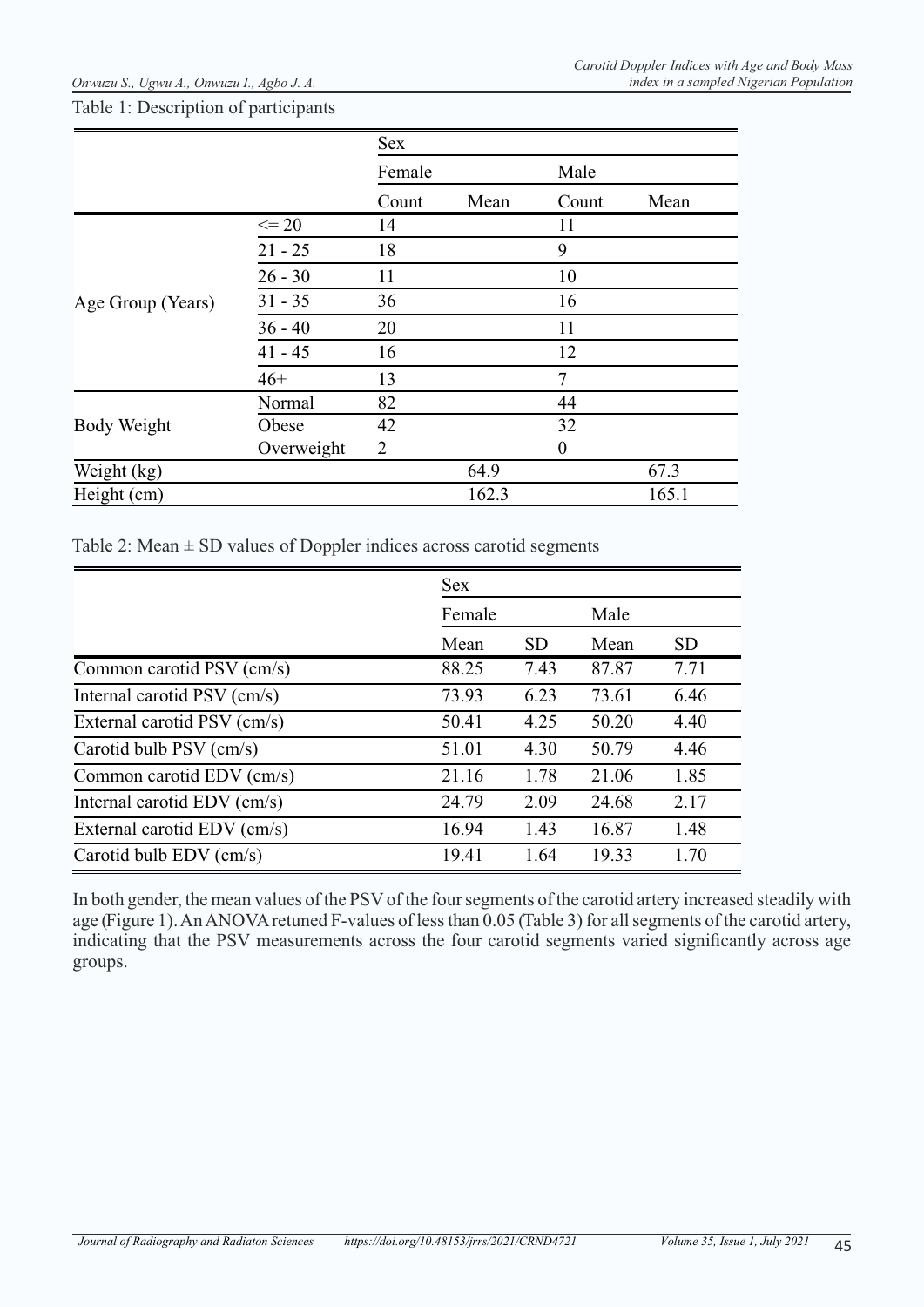#### Table 1: Description of participants

|                    |            | Sex            |       |                |       |
|--------------------|------------|----------------|-------|----------------|-------|
|                    |            | Female         |       | Male           |       |
|                    |            | Count          | Mean  | Count          | Mean  |
|                    | $\leq$ 20  | 14             |       | 11             |       |
|                    | $21 - 25$  | 18             |       | 9              |       |
|                    | $26 - 30$  | 11             |       | 10             |       |
| Age Group (Years)  | $31 - 35$  | 36             |       | 16             |       |
|                    | $36 - 40$  | 20             |       | 11             |       |
|                    | $41 - 45$  | 16             |       | 12             |       |
|                    | $46+$      | 13             |       | $\overline{7}$ |       |
|                    | Normal     | 82             |       | 44             |       |
| <b>Body Weight</b> | Obese      | 42             |       | 32             |       |
|                    | Overweight | $\overline{2}$ |       | $\theta$       |       |
| Weight (kg)        |            |                | 64.9  |                | 67.3  |
| Height (cm)        |            |                | 162.3 |                | 165.1 |

Table 2: Mean  $\pm$  SD values of Doppler indices across carotid segments

|                             | Sex    |           |       |           |
|-----------------------------|--------|-----------|-------|-----------|
|                             | Female |           | Male  |           |
|                             | Mean   | <b>SD</b> | Mean  | <b>SD</b> |
| Common carotid PSV (cm/s)   | 88.25  | 7.43      | 87.87 | 7.71      |
| Internal carotid PSV (cm/s) | 73.93  | 6.23      | 73.61 | 6.46      |
| External carotid PSV (cm/s) | 50.41  | 4.25      | 50.20 | 4.40      |
| Carotid bulb PSV (cm/s)     | 51.01  | 4.30      | 50.79 | 4.46      |
| Common carotid EDV (cm/s)   | 21.16  | 1.78      | 21.06 | 1.85      |
| Internal carotid EDV (cm/s) | 24.79  | 2.09      | 24.68 | 2.17      |
| External carotid EDV (cm/s) | 16.94  | 1.43      | 16.87 | 1.48      |
| Carotid bulb EDV (cm/s)     | 19.41  | 1.64      | 19.33 | 1.70      |

In both gender, the mean values of the PSV of the four segments of the carotid artery increased steadily with age (Figure 1). An ANOVA retuned F-values of less than 0.05 (Table 3) for all segments of the carotid artery, indicating that the PSV measurements across the four carotid segments varied significantly across age groups.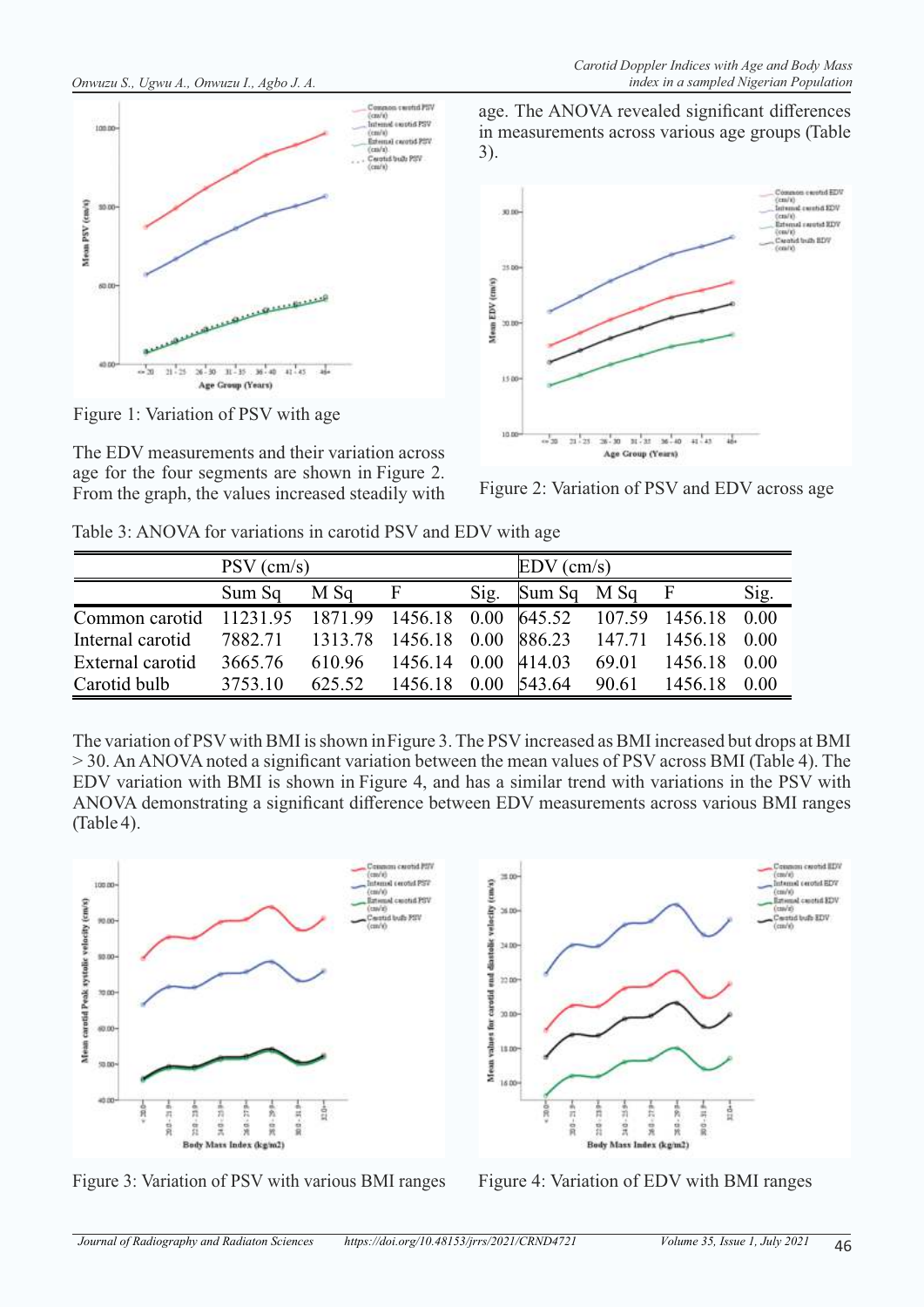



Figure 1: Variation of PSV with age

The EDV measurements and their variation across age for the four segments are shown in Figure 2. From the graph, the values increased steadily with Figure 2: Variation of PSV and EDV across age

age. The ANOVA revealed significant differences in measurements across various age groups (Table 3).



|  |  |  | Table 3: ANOVA for variations in carotid PSV and EDV with age |
|--|--|--|---------------------------------------------------------------|
|--|--|--|---------------------------------------------------------------|

|                                                                         | $PSV$ (cm/s) |        |                      | $EDV$ (cm/s) |               |       |                     |      |
|-------------------------------------------------------------------------|--------------|--------|----------------------|--------------|---------------|-------|---------------------|------|
|                                                                         | Sum Sq       | M Sq   | F                    | Sig.         | $Sum Sq$ M Sq |       | F                   | Sig. |
| Common carotid 11231.95 1871.99 1456.18 0.00 645.52 107.59 1456.18 0.00 |              |        |                      |              |               |       |                     |      |
| Internal carotid                                                        | 7882.71      |        | 1313.78 1456.18 0.00 |              | 886.23        |       | 147.71 1456.18 0.00 |      |
| External carotid                                                        | 3665.76      | 610.96 | 1456.14 0.00 414.03  |              |               | 69.01 | 1456.18 0.00        |      |
| Carotid bulb                                                            | 3753.10      | 625.52 | 1456.18              | 0.00         | 543.64        | 90.61 | 1456.18             | 0.00 |

The variation of PSV with BMI is shown in Figure 3. The PSV increased as BMI increased but drops at BMI > 30. An ANOVA noted a significant variation between the mean values of PSV across BMI (Table 4). The EDV variation with BMI is shown in Figure 4, and has a similar trend with variations in the PSV with ANOVA demonstrating a significant difference between EDV measurements across various BMI ranges (Table 4).



Figure 3: Variation of PSV with various BMI ranges Figure 4: Variation of EDV with BMI ranges

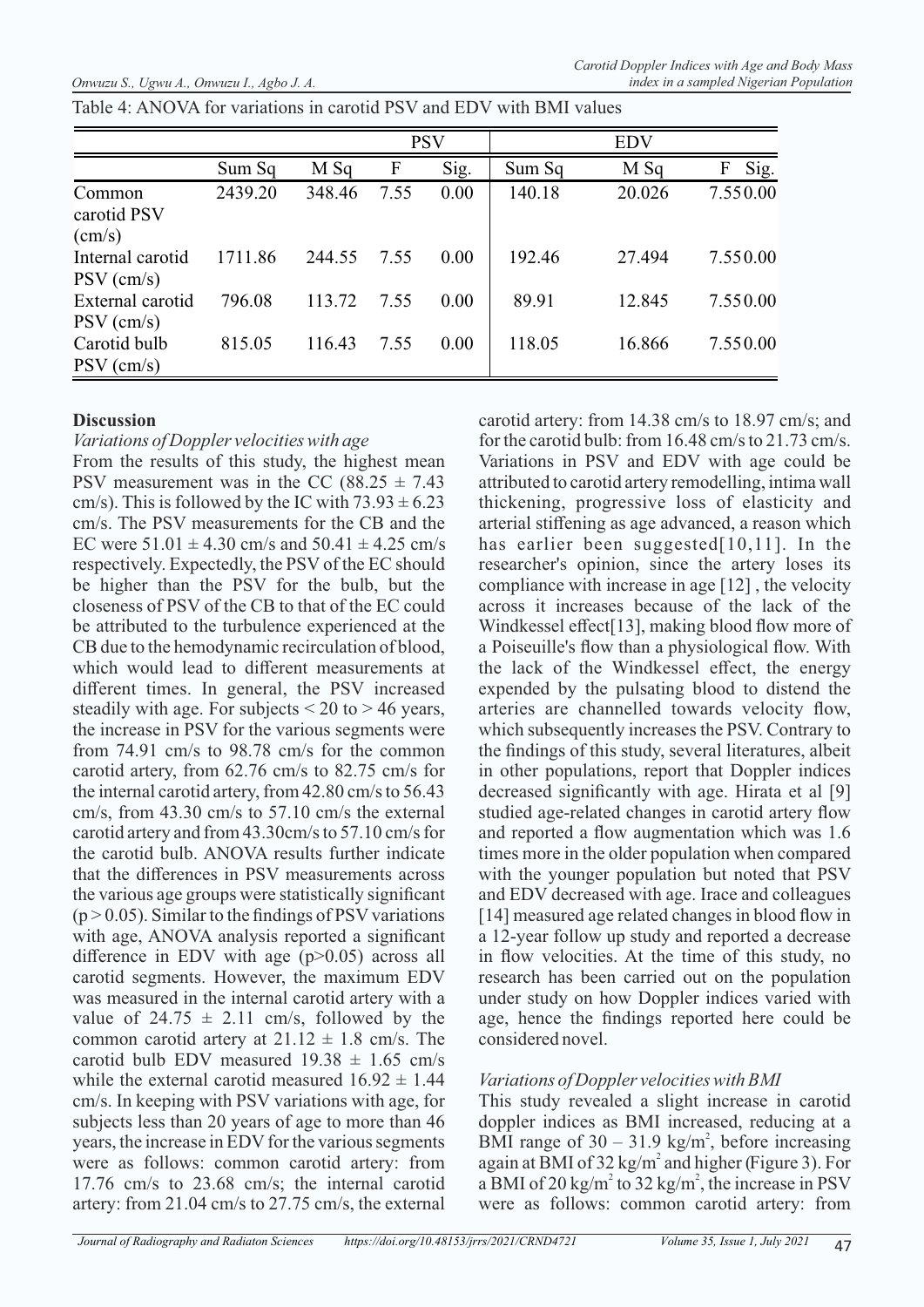Table 4: ANOVA for variations in carotid PSV and EDV with BMI values

|                                  |         |        | <b>PSV</b> |      |        |        |           |
|----------------------------------|---------|--------|------------|------|--------|--------|-----------|
|                                  | Sum Sq  | M Sq   | F          | Sig. | Sum Sq | M Sq   | Sig.<br>F |
| Common<br>carotid PSV<br>(cm/s)  | 2439.20 | 348.46 | 7.55       | 0.00 | 140.18 | 20.026 | 7.550.00  |
| Internal carotid<br>$PSV$ (cm/s) | 1711.86 | 244.55 | 7.55       | 0.00 | 192.46 | 27.494 | 7.550.00  |
| External carotid<br>$PSV$ (cm/s) | 796.08  | 113.72 | 7.55       | 0.00 | 89.91  | 12.845 | 7.550.00  |
| Carotid bulb<br>$PSV$ (cm/s)     | 815.05  | 116.43 | 7.55       | 0.00 | 118.05 | 16.866 | 7.550.00  |

#### **Discussion**

#### *Variations of Doppler velocities with age*

From the results of this study, the highest mean PSV measurement was in the CC (88.25  $\pm$  7.43 cm/s). This is followed by the IC with  $73.93 \pm 6.23$ cm/s. The PSV measurements for the CB and the EC were  $51.01 \pm 4.30$  cm/s and  $50.41 \pm 4.25$  cm/s respectively. Expectedly, the PSV of the EC should be higher than the PSV for the bulb, but the closeness of PSV of the CB to that of the EC could be attributed to the turbulence experienced at the CB due to the hemodynamic recirculation of blood, which would lead to different measurements at different times. In general, the PSV increased steadily with age. For subjects  $\leq 20$  to  $> 46$  years, the increase in PSV for the various segments were from 74.91 cm/s to 98.78 cm/s for the common carotid artery, from 62.76 cm/s to 82.75 cm/s for the internal carotid artery, from 42.80 cm/s to 56.43 cm/s, from 43.30 cm/s to 57.10 cm/s the external carotid artery and from 43.30cm/s to 57.10 cm/s for the carotid bulb. ANOVA results further indicate that the differences in PSV measurements across the various age groups were statistically significant  $(p > 0.05)$ . Similar to the findings of PSV variations with age, ANOVA analysis reported a significant difference in EDV with age (p>0.05) across all carotid segments. However, the maximum EDV was measured in the internal carotid artery with a value of  $24.75 \pm 2.11$  cm/s, followed by the common carotid artery at  $21.12 \pm 1.8$  cm/s. The carotid bulb EDV measured  $19.38 \pm 1.65$  cm/s while the external carotid measured  $16.92 \pm 1.44$ cm/s. In keeping with PSV variations with age, for subjects less than 20 years of age to more than 46 years, the increase in EDV for the various segments were as follows: common carotid artery: from 17.76 cm/s to 23.68 cm/s; the internal carotid artery: from 21.04 cm/s to 27.75 cm/s, the external

carotid artery: from 14.38 cm/s to 18.97 cm/s; and for the carotid bulb: from 16.48 cm/s to 21.73 cm/s. Variations in PSV and EDV with age could be attributed to carotid artery remodelling, intima wall thickening, progressive loss of elasticity and arterial stiffening as age advanced, a reason which has earlier been suggested[10,11]. In the researcher's opinion, since the artery loses its compliance with increase in age [12] , the velocity across it increases because of the lack of the Windkessel effect<sup>[13]</sup>, making blood flow more of a Poiseuille's flow than a physiological flow. With the lack of the Windkessel effect, the energy expended by the pulsating blood to distend the arteries are channelled towards velocity flow, which subsequently increases the PSV. Contrary to the findings of this study, several literatures, albeit in other populations, report that Doppler indices decreased significantly with age. Hirata et al [9] studied age-related changes in carotid artery flow and reported a flow augmentation which was 1.6 times more in the older population when compared with the younger population but noted that PSV and EDV decreased with age. Irace and colleagues [14] measured age related changes in blood flow in a 12-year follow up study and reported a decrease in flow velocities. At the time of this study, no research has been carried out on the population under study on how Doppler indices varied with age, hence the findings reported here could be considered novel.

## *Variations of Doppler velocities with BMI*

This study revealed a slight increase in carotid doppler indices as BMI increased, reducing at a BMI range of  $30 - 31.9$  kg/m<sup>2</sup>, before increasing again at BMI of  $32 \text{ kg/m}^2$  and higher (Figure 3). For a BMI of 20 kg/m<sup>2</sup> to 32 kg/m<sup>2</sup>, the increase in PSV were as follows: common carotid artery: from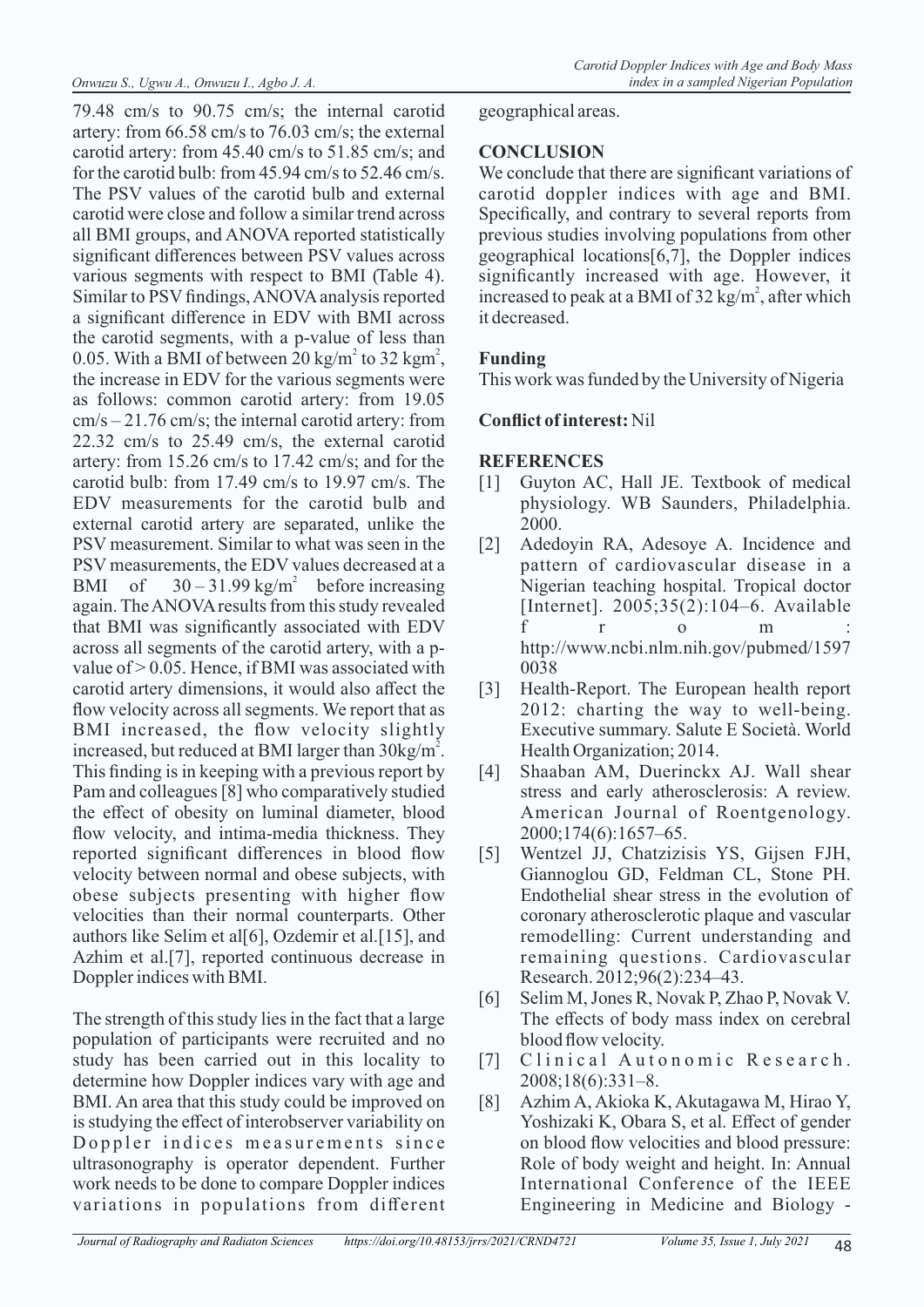79.48 cm/s to 90.75 cm/s; the internal carotid artery: from 66.58 cm/s to 76.03 cm/s; the external carotid artery: from 45.40 cm/s to 51.85 cm/s; and for the carotid bulb: from 45.94 cm/s to 52.46 cm/s. The PSV values of the carotid bulb and external carotid were close and follow a similar trend across all BMI groups, and ANOVA reported statistically significant differences between PSV values across various segments with respect to BMI (Table 4). Similar to PSV findings, ANOVA analysis reported a significant difference in EDV with BMI across the carotid segments, with a p-value of less than 0.05. With a BMI of between 20 kg/m<sup>2</sup> to 32 kgm<sup>2</sup>, the increase in EDV for the various segments were as follows: common carotid artery: from 19.05 cm/s – 21.76 cm/s; the internal carotid artery: from 22.32 cm/s to 25.49 cm/s, the external carotid artery: from 15.26 cm/s to 17.42 cm/s; and for the carotid bulb: from 17.49 cm/s to 19.97 cm/s. The EDV measurements for the carotid bulb and external carotid artery are separated, unlike the PSV measurement. Similar to what was seen in the PSV measurements, the EDV values decreased at a BMI of  $30 - 31.99$  kg/m<sup>2</sup> before increasing again. The ANOVA results from this study revealed that BMI was significantly associated with EDV across all segments of the carotid artery, with a pvalue of  $> 0.05$ . Hence, if BMI was associated with carotid artery dimensions, it would also affect the flow velocity across all segments. We report that as BMI increased, the flow velocity slightly increased, but reduced at BMI larger than  $30\text{kg/m}^2$ . This finding is in keeping with a previous report by Pam and colleagues [8] who comparatively studied the effect of obesity on luminal diameter, blood flow velocity, and intima-media thickness. They reported significant differences in blood flow velocity between normal and obese subjects, with obese subjects presenting with higher flow velocities than their normal counterparts. Other authors like Selim et al[6], Ozdemir et al.[15], and Azhim et al.[7], reported continuous decrease in Doppler indices with BMI.

The strength of this study lies in the fact that a large population of participants were recruited and no study has been carried out in this locality to determine how Doppler indices vary with age and BMI. An area that this study could be improved on is studying the effect of interobserver variability on Doppler indices measurements since ultrasonography is operator dependent. Further work needs to be done to compare Doppler indices variations in populations from different

geographical areas.

# **CONCLUSION**

We conclude that there are significant variations of carotid doppler indices with age and BMI. Specifically, and contrary to several reports from previous studies involving populations from other geographical locations[6,7], the Doppler indices significantly increased with age. However, it increased to peak at a BMI of 32 kg/m<sup>2</sup>, after which it decreased.

# **Funding**

This work was funded by the University of Nigeria

# **Conflict of interest:** Nil

### **REFERENCES**

- [1] Guyton AC, Hall JE. Textbook of medical physiology. WB Saunders, Philadelphia. 2000.
- [2] Adedoyin RA, Adesoye A. Incidence and pattern of cardiovascular disease in a Nigerian teaching hospital. Tropical doctor [Internet]. 2005;35(2):104–6. Available f r o m : http://www.ncbi.nlm.nih.gov/pubmed/1597 0038
- [3] Health-Report. The European health report 2012: charting the way to well-being. Executive summary. Salute E Società. World Health Organization; 2014.
- [4] Shaaban AM, Duerinckx AJ. Wall shear stress and early atherosclerosis: A review. American Journal of Roentgenology. 2000;174(6):1657–65.
- [5] Wentzel JJ, Chatzizisis YS, Gijsen FJH, Giannoglou GD, Feldman CL, Stone PH. Endothelial shear stress in the evolution of coronary atherosclerotic plaque and vascular remodelling: Current understanding and remaining questions. Cardiovascular Research. 2012;96(2):234–43.
- [6] Selim M, Jones R, Novak P, Zhao P, Novak V. The effects of body mass index on cerebral blood flow velocity.
- [7] Clinical Autonomic Research. 2008;18(6):331–8.
- [8] Azhim A, Akioka K, Akutagawa M, Hirao Y, Yoshizaki K, Obara S, et al. Effect of gender on blood flow velocities and blood pressure: Role of body weight and height. In: Annual International Conference of the IEEE Engineering in Medicine and Biology -